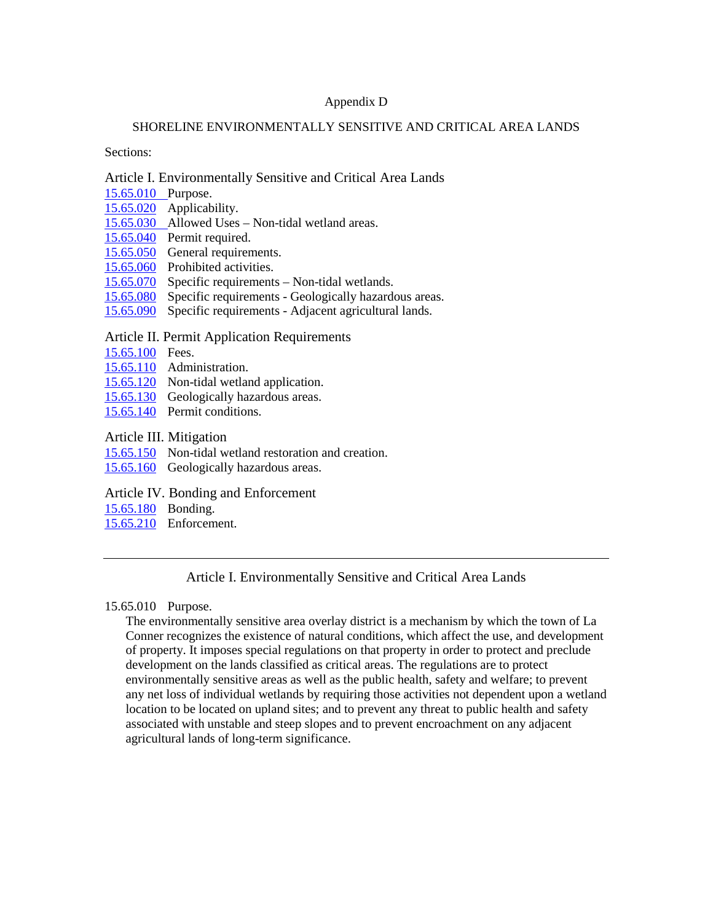# Appendix D

### SHORELINE ENVIRONMENTALLY SENSITIVE AND CRITICAL AREA LANDS

Sections:

### Article I. Environmentally Sensitive and Critical Area Lands

- [15.65.010](#page-0-0) Purpose.
- [15.65.020](#page-0-1) Applicability.
- [15.65.030](#page-1-0) Allowed Uses Non-tidal wetland areas.
- [15.65.040](#page-1-1) Permit required.
- [15.65.050](#page-1-2) General requirements.
- [15.65.060](#page-2-0) Prohibited activities.
- [15.65.070](#page-2-1) Specific requirements Non-tidal wetlands.
- [15.65.080](#page-5-0) Specific requirements Geologically hazardous areas.
- [15.65.090](#page-6-0) Specific requirements Adjacent agricultural lands.

# Article II. Permit Application Requirements

- [15.65.100](#page-6-1) Fees.
- [15.65.110](#page-7-0) Administration.
- [15.65.120](#page-7-1) Non-tidal wetland application.
- [15.65.130](#page-8-0) Geologically hazardous areas.
- [15.65.140](#page-9-0) Permit conditions.
- Article III. Mitigation
- [15.65.150](#page-9-1) Non-tidal wetland restoration and creation.
- [15.65.160](#page-11-0) Geologically hazardous areas.
- Article IV. Bonding and Enforcement
- [15.65.180](#page-11-1) Bonding.
- [15.65.210](#page-11-2) Enforcement.

# Article I. Environmentally Sensitive and Critical Area Lands

# <span id="page-0-0"></span>15.65.010 Purpose.

<span id="page-0-1"></span>The environmentally sensitive area overlay district is a mechanism by which the town of La Conner recognizes the existence of natural conditions, which affect the use, and development of property. It imposes special regulations on that property in order to protect and preclude development on the lands classified as critical areas. The regulations are to protect environmentally sensitive areas as well as the public health, safety and welfare; to prevent any net loss of individual wetlands by requiring those activities not dependent upon a wetland location to be located on upland sites; and to prevent any threat to public health and safety associated with unstable and steep slopes and to prevent encroachment on any adjacent agricultural lands of long-term significance.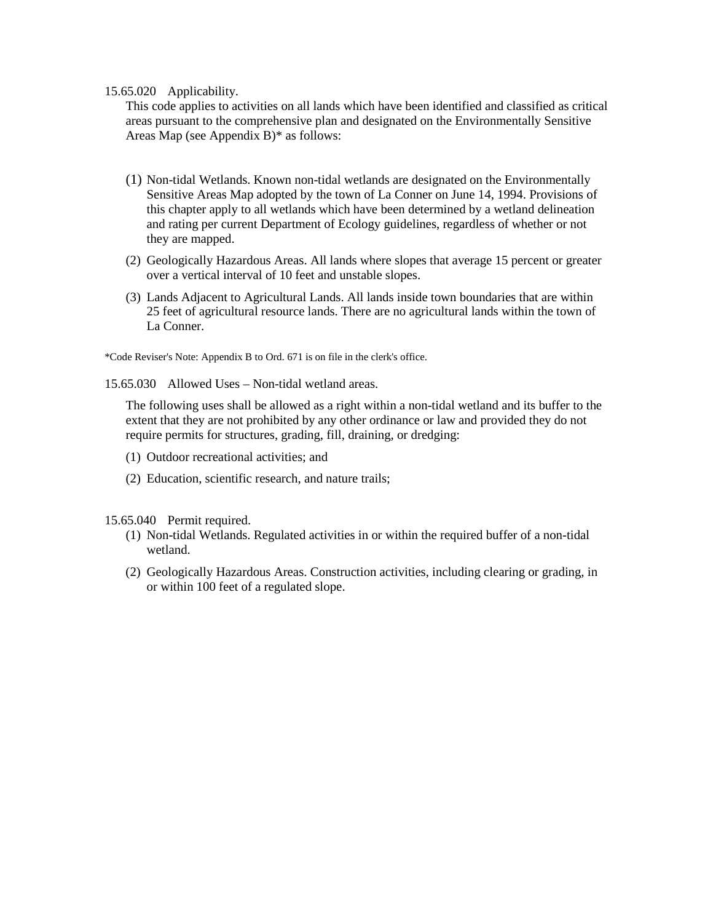### 15.65.020 Applicability.

This code applies to activities on all lands which have been identified and classified as critical areas pursuant to the comprehensive plan and designated on the Environmentally Sensitive Areas Map (see Appendix B)\* as follows:

- (1) Non-tidal Wetlands. Known non-tidal wetlands are designated on the Environmentally Sensitive Areas Map adopted by the town of La Conner on June 14, 1994. Provisions of this chapter apply to all wetlands which have been determined by a wetland delineation and rating per current Department of Ecology guidelines, regardless of whether or not they are mapped.
- (2) Geologically Hazardous Areas. All lands where slopes that average 15 percent or greater over a vertical interval of 10 feet and unstable slopes.
- (3) Lands Adjacent to Agricultural Lands. All lands inside town boundaries that are within 25 feet of agricultural resource lands. There are no agricultural lands within the town of La Conner.

\*Code Reviser's Note: Appendix B to Ord. 671 is on file in the clerk's office.

<span id="page-1-0"></span>15.65.030 Allowed Uses – Non-tidal wetland areas.

The following uses shall be allowed as a right within a non-tidal wetland and its buffer to the extent that they are not prohibited by any other ordinance or law and provided they do not require permits for structures, grading, fill, draining, or dredging:

- (1) Outdoor recreational activities; and
- (2) Education, scientific research, and nature trails;

<span id="page-1-1"></span>15.65.040 Permit required.

- (1) Non-tidal Wetlands. Regulated activities in or within the required buffer of a non-tidal wetland.
- <span id="page-1-2"></span>(2) Geologically Hazardous Areas. Construction activities, including clearing or grading, in or within 100 feet of a regulated slope.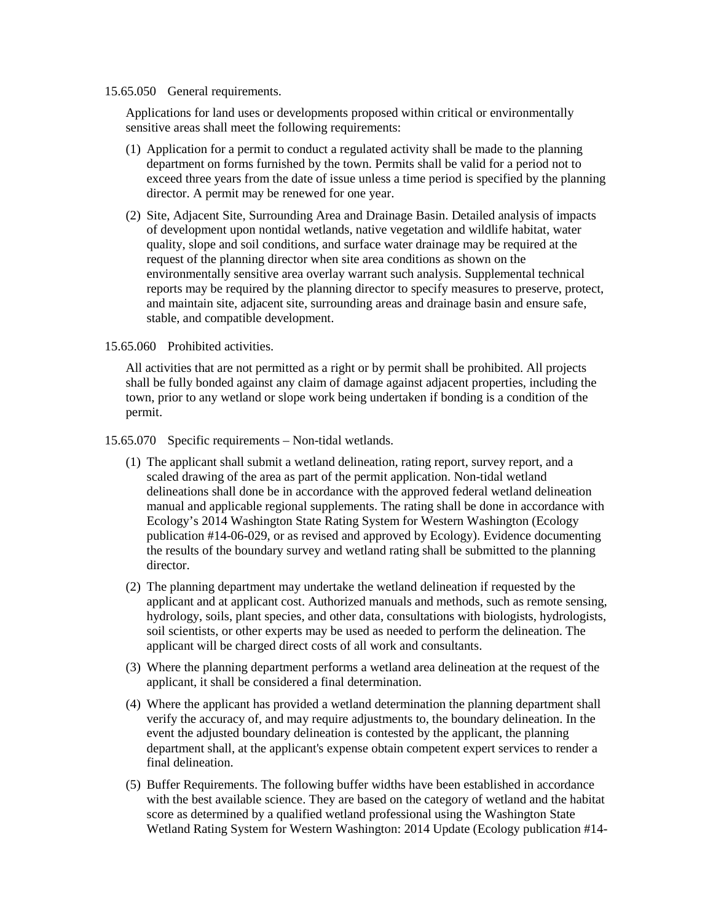## 15.65.050 General requirements.

Applications for land uses or developments proposed within critical or environmentally sensitive areas shall meet the following requirements:

- (1) Application for a permit to conduct a regulated activity shall be made to the planning department on forms furnished by the town. Permits shall be valid for a period not to exceed three years from the date of issue unless a time period is specified by the planning director. A permit may be renewed for one year.
- (2) Site, Adjacent Site, Surrounding Area and Drainage Basin. Detailed analysis of impacts of development upon nontidal wetlands, native vegetation and wildlife habitat, water quality, slope and soil conditions, and surface water drainage may be required at the request of the planning director when site area conditions as shown on the environmentally sensitive area overlay warrant such analysis. Supplemental technical reports may be required by the planning director to specify measures to preserve, protect, and maintain site, adjacent site, surrounding areas and drainage basin and ensure safe, stable, and compatible development.

<span id="page-2-0"></span>15.65.060 Prohibited activities.

All activities that are not permitted as a right or by permit shall be prohibited. All projects shall be fully bonded against any claim of damage against adjacent properties, including the town, prior to any wetland or slope work being undertaken if bonding is a condition of the permit.

<span id="page-2-1"></span>15.65.070 Specific requirements – Non-tidal wetlands.

- (1) The applicant shall submit a wetland delineation, rating report, survey report, and a scaled drawing of the area as part of the permit application. Non-tidal wetland delineations shall done be in accordance with the approved federal wetland delineation manual and applicable regional supplements. The rating shall be done in accordance with Ecology's 2014 Washington State Rating System for Western Washington (Ecology publication #14-06-029, or as revised and approved by Ecology). Evidence documenting the results of the boundary survey and wetland rating shall be submitted to the planning director.
- (2) The planning department may undertake the wetland delineation if requested by the applicant and at applicant cost. Authorized manuals and methods, such as remote sensing, hydrology, soils, plant species, and other data, consultations with biologists, hydrologists, soil scientists, or other experts may be used as needed to perform the delineation. The applicant will be charged direct costs of all work and consultants.
- (3) Where the planning department performs a wetland area delineation at the request of the applicant, it shall be considered a final determination.
- (4) Where the applicant has provided a wetland determination the planning department shall verify the accuracy of, and may require adjustments to, the boundary delineation. In the event the adjusted boundary delineation is contested by the applicant, the planning department shall, at the applicant's expense obtain competent expert services to render a final delineation.
- (5) Buffer Requirements. The following buffer widths have been established in accordance with the best available science. They are based on the category of wetland and the habitat score as determined by a qualified wetland professional using the Washington State Wetland Rating System for Western Washington: 2014 Update (Ecology publication #14-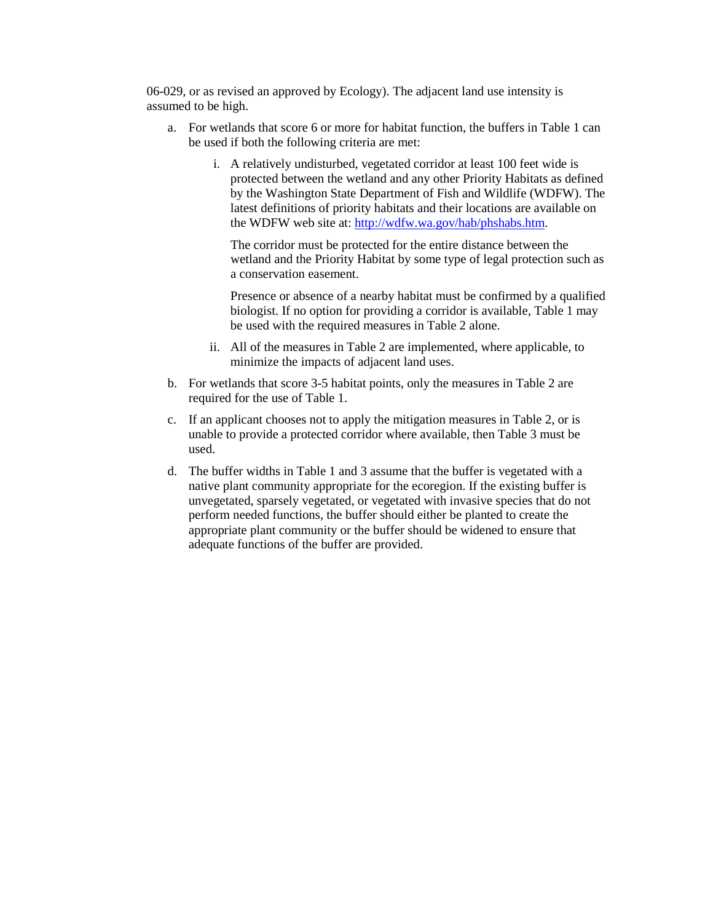06-029, or as revised an approved by Ecology). The adjacent land use intensity is assumed to be high.

- a. For wetlands that score 6 or more for habitat function, the buffers in Table 1 can be used if both the following criteria are met:
	- i. A relatively undisturbed, vegetated corridor at least 100 feet wide is protected between the wetland and any other Priority Habitats as defined by the Washington State Department of Fish and Wildlife (WDFW). The latest definitions of priority habitats and their locations are available on the WDFW web site at: [http://wdfw.wa.gov/hab/phshabs.htm.](http://wdfw.wa.gov/hab/phshabs.htm)

The corridor must be protected for the entire distance between the wetland and the Priority Habitat by some type of legal protection such as a conservation easement.

Presence or absence of a nearby habitat must be confirmed by a qualified biologist. If no option for providing a corridor is available, Table 1 may be used with the required measures in Table 2 alone.

- ii. All of the measures in Table 2 are implemented, where applicable, to minimize the impacts of adjacent land uses.
- b. For wetlands that score 3-5 habitat points, only the measures in Table 2 are required for the use of Table 1.
- c. If an applicant chooses not to apply the mitigation measures in Table 2, or is unable to provide a protected corridor where available, then Table 3 must be used.
- d. The buffer widths in Table 1 and 3 assume that the buffer is vegetated with a native plant community appropriate for the ecoregion. If the existing buffer is unvegetated, sparsely vegetated, or vegetated with invasive species that do not perform needed functions, the buffer should either be planted to create the appropriate plant community or the buffer should be widened to ensure that adequate functions of the buffer are provided.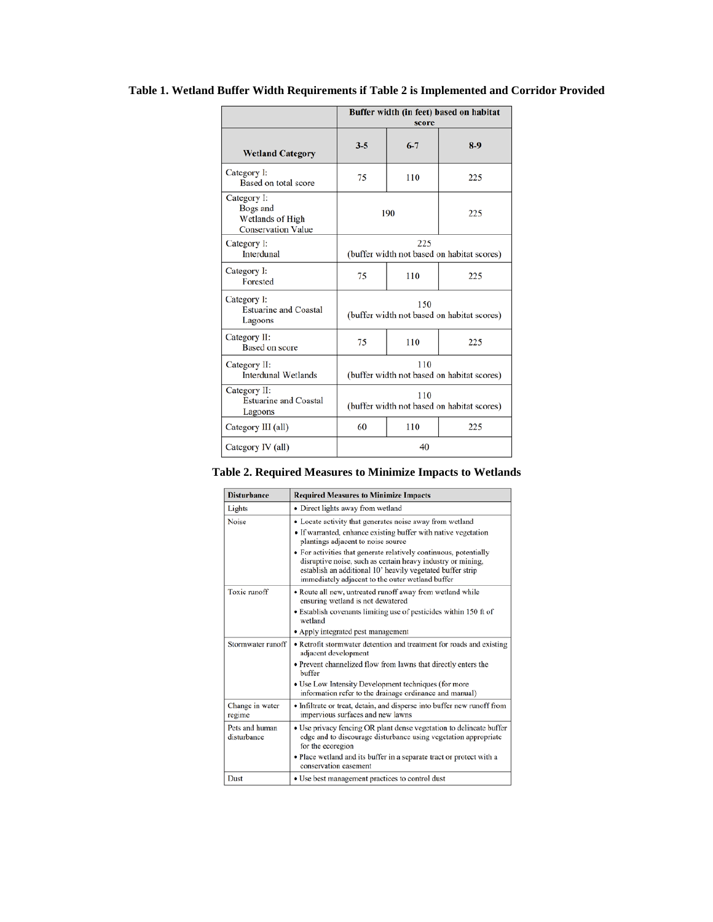# **Table 1. Wetland Buffer Width Requirements if Table 2 is Implemented and Corridor Provided**

|                                                                          | Buffer width (in feet) based on habitat<br>score  |         |       |
|--------------------------------------------------------------------------|---------------------------------------------------|---------|-------|
| <b>Wetland Category</b>                                                  | $3 - 5$                                           | $6 - 7$ | $8-9$ |
| Category I:<br>Based on total score                                      | 75                                                | 110     | 225   |
| Category I:<br>Bogs and<br>Wetlands of High<br><b>Conservation Value</b> | 190<br>225                                        |         |       |
| Category I:<br>Interdunal                                                | 225<br>(buffer width not based on habitat scores) |         |       |
| Category I:<br>Forested                                                  | 75                                                | 110     | 225   |
| Category I:<br><b>Estuarine and Coastal</b><br>Lagoons                   | 150<br>(buffer width not based on habitat scores) |         |       |
| Category II:<br><b>Based on score</b>                                    | 75                                                | 110     | 225   |
| Category II:<br><b>Interdunal Wetlands</b>                               | 110<br>(buffer width not based on habitat scores) |         |       |
| Category II:<br><b>Estuarine and Coastal</b><br>Lagoons                  | 110<br>(buffer width not based on habitat scores) |         |       |
| Category III (all)                                                       | 60                                                | 110     | 225   |
| Category IV (all)                                                        | 40                                                |         |       |

|  | Table 2. Required Measures to Minimize Impacts to Wetlands |  |  |  |
|--|------------------------------------------------------------|--|--|--|
|--|------------------------------------------------------------|--|--|--|

| <b>Disturbance</b>            | <b>Required Measures to Minimize Impacts</b>                                                                                                                                                                                                                                                                                                                                                                           |  |  |
|-------------------------------|------------------------------------------------------------------------------------------------------------------------------------------------------------------------------------------------------------------------------------------------------------------------------------------------------------------------------------------------------------------------------------------------------------------------|--|--|
| Lights                        | • Direct lights away from wetland                                                                                                                                                                                                                                                                                                                                                                                      |  |  |
| <b>Noise</b>                  | • Locate activity that generates noise away from wetland<br>• If warranted, enhance existing buffer with native vegetation<br>plantings adjacent to noise source<br>• For activities that generate relatively continuous, potentially<br>disruptive noise, such as certain heavy industry or mining,<br>establish an additional 10' heavily vegetated buffer strip<br>immediately adjacent to the outer wetland buffer |  |  |
| Toxic runoff                  | • Route all new, untreated runoff away from wetland while<br>ensuring wetland is not dewatered<br>• Establish covenants limiting use of pesticides within 150 ft of<br>wetland<br>• Apply integrated pest management                                                                                                                                                                                                   |  |  |
| Stormwater runoff             | • Retrofit stormwater detention and treatment for roads and existing<br>adjacent development<br>• Prevent channelized flow from lawns that directly enters the<br>buffer<br>• Use Low Intensity Development techniques (for more<br>information refer to the drainage ordinance and manual)                                                                                                                            |  |  |
| Change in water<br>regime     | • Infiltrate or treat, detain, and disperse into buffer new runoff from<br>impervious surfaces and new lawns                                                                                                                                                                                                                                                                                                           |  |  |
| Pets and human<br>disturbance | • Use privacy fencing OR plant dense vegetation to delineate buffer<br>edge and to discourage disturbance using vegetation appropriate<br>for the ecoregion<br>• Place wetland and its buffer in a separate tract or protect with a<br>conservation easement                                                                                                                                                           |  |  |
| <b>Dust</b>                   | • Use best management practices to control dust                                                                                                                                                                                                                                                                                                                                                                        |  |  |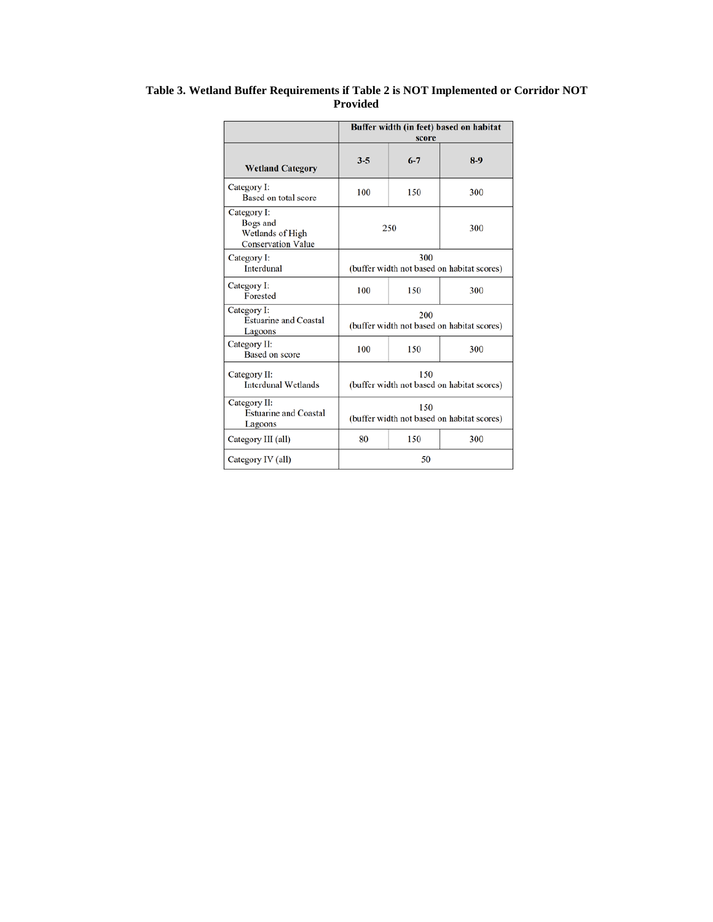<span id="page-5-0"></span>

|                                                                          | Buffer width (in feet) based on habitat<br>score  |         |       |  |
|--------------------------------------------------------------------------|---------------------------------------------------|---------|-------|--|
| <b>Wetland Category</b>                                                  | $3 - 5$                                           | $6 - 7$ | $8-9$ |  |
| Category I:<br>Based on total score                                      | 100                                               | 150     | 300   |  |
| Category I:<br>Bogs and<br>Wetlands of High<br><b>Conservation Value</b> | 250<br>300                                        |         |       |  |
| Category I:<br>Interdunal                                                | 300<br>(buffer width not based on habitat scores) |         |       |  |
| Category I:<br>Forested                                                  | 100                                               | 150     | 300   |  |
| Category I:<br><b>Estuarine and Coastal</b><br>Lagoons                   | 200<br>(buffer width not based on habitat scores) |         |       |  |
| Category II:<br>Based on score                                           | 100                                               | 150     | 300   |  |
| Category II:<br><b>Interdunal Wetlands</b>                               | 150<br>(buffer width not based on habitat scores) |         |       |  |
| Category II:<br><b>Estuarine and Coastal</b><br>Lagoons                  | 150<br>(buffer width not based on habitat scores) |         |       |  |
| Category III (all)                                                       | 80                                                | 150     | 300   |  |
| Category IV (all)                                                        | 50                                                |         |       |  |

### **Table 3. Wetland Buffer Requirements if Table 2 is NOT Implemented or Corridor NOT Provided**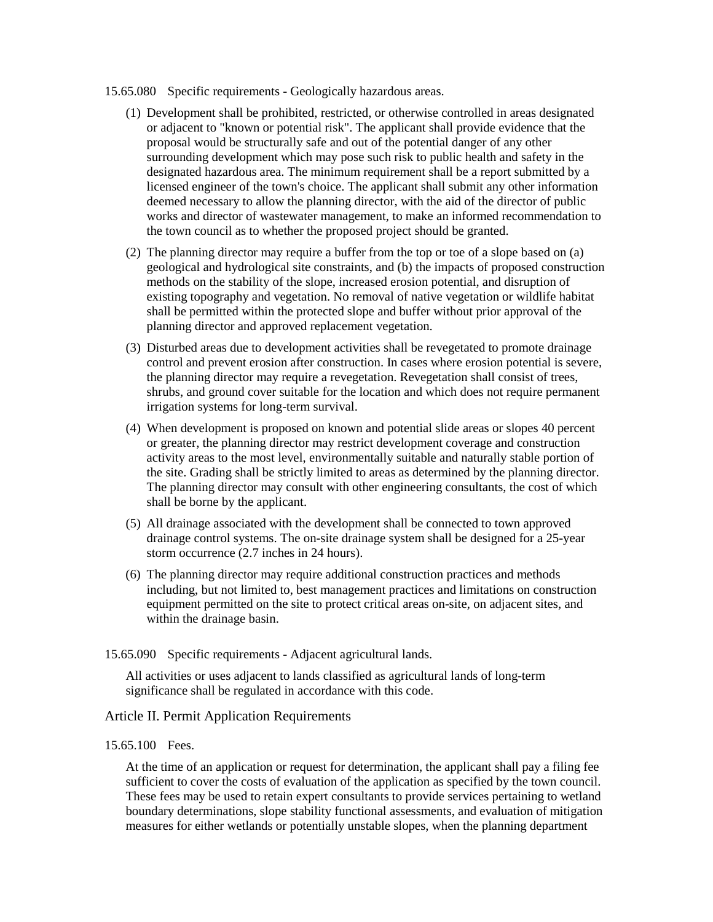- 15.65.080 Specific requirements Geologically hazardous areas.
	- (1) Development shall be prohibited, restricted, or otherwise controlled in areas designated or adjacent to "known or potential risk". The applicant shall provide evidence that the proposal would be structurally safe and out of the potential danger of any other surrounding development which may pose such risk to public health and safety in the designated hazardous area. The minimum requirement shall be a report submitted by a licensed engineer of the town's choice. The applicant shall submit any other information deemed necessary to allow the planning director, with the aid of the director of public works and director of wastewater management, to make an informed recommendation to the town council as to whether the proposed project should be granted.
	- (2) The planning director may require a buffer from the top or toe of a slope based on (a) geological and hydrological site constraints, and (b) the impacts of proposed construction methods on the stability of the slope, increased erosion potential, and disruption of existing topography and vegetation. No removal of native vegetation or wildlife habitat shall be permitted within the protected slope and buffer without prior approval of the planning director and approved replacement vegetation.
	- (3) Disturbed areas due to development activities shall be revegetated to promote drainage control and prevent erosion after construction. In cases where erosion potential is severe, the planning director may require a revegetation. Revegetation shall consist of trees, shrubs, and ground cover suitable for the location and which does not require permanent irrigation systems for long-term survival.
	- (4) When development is proposed on known and potential slide areas or slopes 40 percent or greater, the planning director may restrict development coverage and construction activity areas to the most level, environmentally suitable and naturally stable portion of the site. Grading shall be strictly limited to areas as determined by the planning director. The planning director may consult with other engineering consultants, the cost of which shall be borne by the applicant.
	- (5) All drainage associated with the development shall be connected to town approved drainage control systems. The on-site drainage system shall be designed for a 25-year storm occurrence (2.7 inches in 24 hours).
	- (6) The planning director may require additional construction practices and methods including, but not limited to, best management practices and limitations on construction equipment permitted on the site to protect critical areas on-site, on adjacent sites, and within the drainage basin.
- <span id="page-6-0"></span>15.65.090 Specific requirements - Adjacent agricultural lands.

All activities or uses adjacent to lands classified as agricultural lands of long-term significance shall be regulated in accordance with this code.

# Article II. Permit Application Requirements

### <span id="page-6-1"></span>15.65.100 Fees.

At the time of an application or request for determination, the applicant shall pay a filing fee sufficient to cover the costs of evaluation of the application as specified by the town council. These fees may be used to retain expert consultants to provide services pertaining to wetland boundary determinations, slope stability functional assessments, and evaluation of mitigation measures for either wetlands or potentially unstable slopes, when the planning department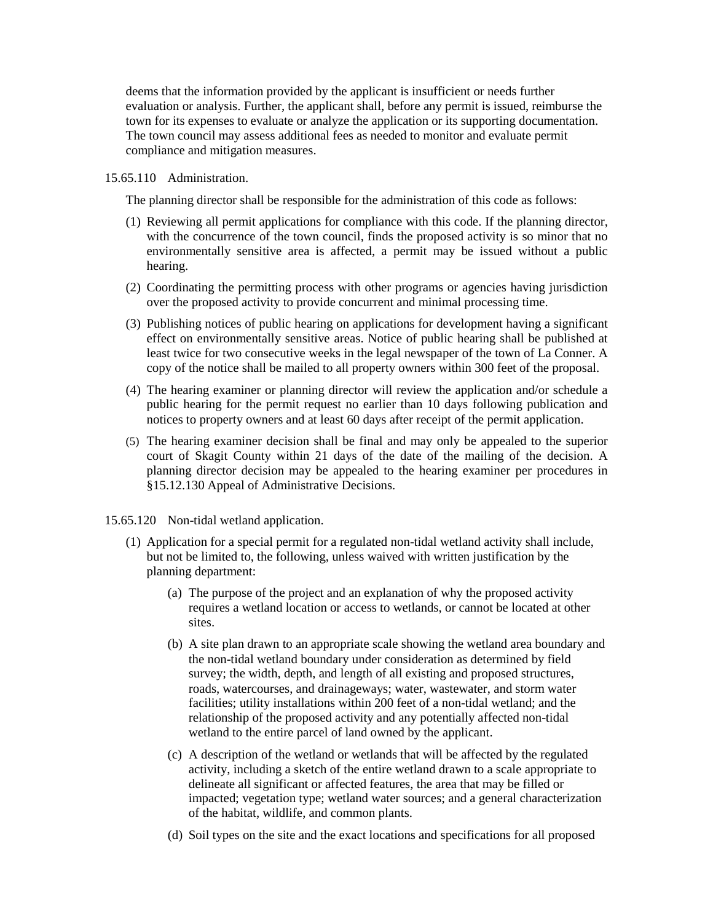deems that the information provided by the applicant is insufficient or needs further evaluation or analysis. Further, the applicant shall, before any permit is issued, reimburse the town for its expenses to evaluate or analyze the application or its supporting documentation. The town council may assess additional fees as needed to monitor and evaluate permit compliance and mitigation measures.

#### <span id="page-7-0"></span>15.65.110 Administration.

The planning director shall be responsible for the administration of this code as follows:

- (1) Reviewing all permit applications for compliance with this code. If the planning director, with the concurrence of the town council, finds the proposed activity is so minor that no environmentally sensitive area is affected, a permit may be issued without a public hearing.
- (2) Coordinating the permitting process with other programs or agencies having jurisdiction over the proposed activity to provide concurrent and minimal processing time.
- (3) Publishing notices of public hearing on applications for development having a significant effect on environmentally sensitive areas. Notice of public hearing shall be published at least twice for two consecutive weeks in the legal newspaper of the town of La Conner. A copy of the notice shall be mailed to all property owners within 300 feet of the proposal.
- (4) The hearing examiner or planning director will review the application and/or schedule a public hearing for the permit request no earlier than 10 days following publication and notices to property owners and at least 60 days after receipt of the permit application.
- (5) The hearing examiner decision shall be final and may only be appealed to the superior court of Skagit County within 21 days of the date of the mailing of the decision. A planning director decision may be appealed to the hearing examiner per procedures in §15.12.130 Appeal of Administrative Decisions.
- <span id="page-7-1"></span>15.65.120 Non-tidal wetland application.
	- (1) Application for a special permit for a regulated non-tidal wetland activity shall include, but not be limited to, the following, unless waived with written justification by the planning department:
		- (a) The purpose of the project and an explanation of why the proposed activity requires a wetland location or access to wetlands, or cannot be located at other sites.
		- (b) A site plan drawn to an appropriate scale showing the wetland area boundary and the non-tidal wetland boundary under consideration as determined by field survey; the width, depth, and length of all existing and proposed structures, roads, watercourses, and drainageways; water, wastewater, and storm water facilities; utility installations within 200 feet of a non-tidal wetland; and the relationship of the proposed activity and any potentially affected non-tidal wetland to the entire parcel of land owned by the applicant.
		- (c) A description of the wetland or wetlands that will be affected by the regulated activity, including a sketch of the entire wetland drawn to a scale appropriate to delineate all significant or affected features, the area that may be filled or impacted; vegetation type; wetland water sources; and a general characterization of the habitat, wildlife, and common plants.
		- (d) Soil types on the site and the exact locations and specifications for all proposed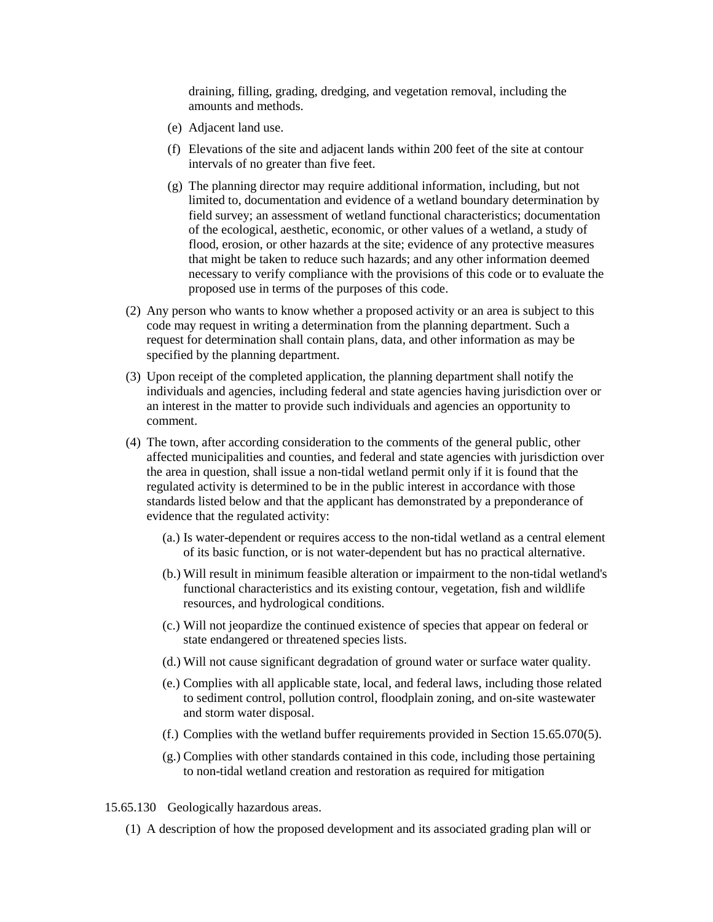draining, filling, grading, dredging, and vegetation removal, including the amounts and methods.

- (e) Adjacent land use.
- (f) Elevations of the site and adjacent lands within 200 feet of the site at contour intervals of no greater than five feet.
- (g) The planning director may require additional information, including, but not limited to, documentation and evidence of a wetland boundary determination by field survey; an assessment of wetland functional characteristics; documentation of the ecological, aesthetic, economic, or other values of a wetland, a study of flood, erosion, or other hazards at the site; evidence of any protective measures that might be taken to reduce such hazards; and any other information deemed necessary to verify compliance with the provisions of this code or to evaluate the proposed use in terms of the purposes of this code.
- (2) Any person who wants to know whether a proposed activity or an area is subject to this code may request in writing a determination from the planning department. Such a request for determination shall contain plans, data, and other information as may be specified by the planning department.
- (3) Upon receipt of the completed application, the planning department shall notify the individuals and agencies, including federal and state agencies having jurisdiction over or an interest in the matter to provide such individuals and agencies an opportunity to comment.
- (4) The town, after according consideration to the comments of the general public, other affected municipalities and counties, and federal and state agencies with jurisdiction over the area in question, shall issue a non-tidal wetland permit only if it is found that the regulated activity is determined to be in the public interest in accordance with those standards listed below and that the applicant has demonstrated by a preponderance of evidence that the regulated activity:
	- (a.) Is water-dependent or requires access to the non-tidal wetland as a central element of its basic function, or is not water-dependent but has no practical alternative.
	- (b.) Will result in minimum feasible alteration or impairment to the non-tidal wetland's functional characteristics and its existing contour, vegetation, fish and wildlife resources, and hydrological conditions.
	- (c.) Will not jeopardize the continued existence of species that appear on federal or state endangered or threatened species lists.
	- (d.) Will not cause significant degradation of ground water or surface water quality.
	- (e.) Complies with all applicable state, local, and federal laws, including those related to sediment control, pollution control, floodplain zoning, and on-site wastewater and storm water disposal.
	- (f.) Complies with the wetland buffer requirements provided in Section 15.65.070(5).
	- (g.) Complies with other standards contained in this code, including those pertaining to non-tidal wetland creation and restoration as required for mitigation
- <span id="page-8-0"></span>15.65.130 Geologically hazardous areas.
	- (1) A description of how the proposed development and its associated grading plan will or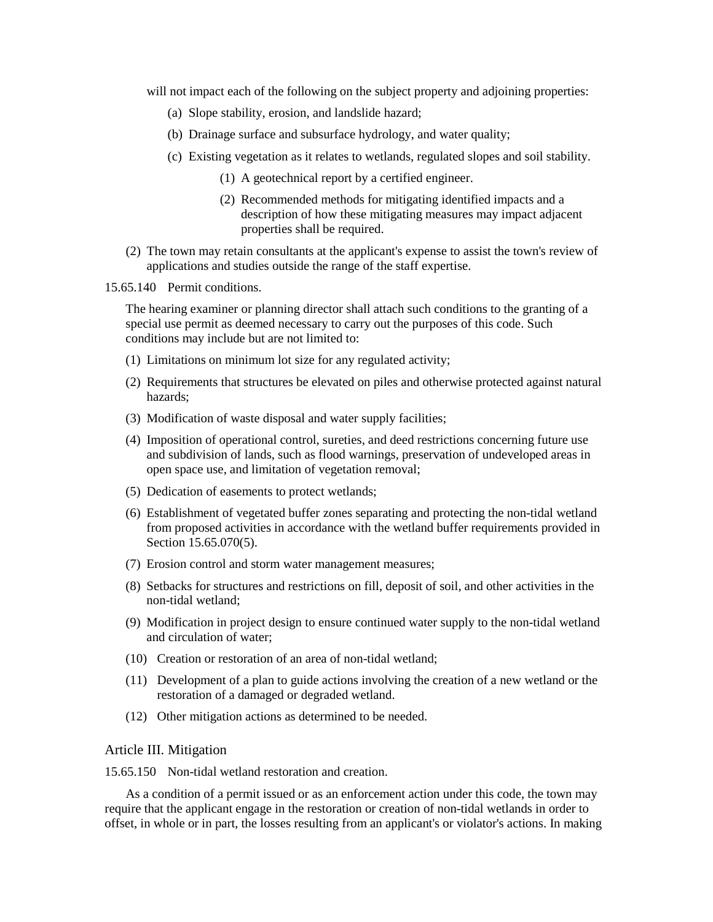will not impact each of the following on the subject property and adjoining properties:

- (a) Slope stability, erosion, and landslide hazard;
- (b) Drainage surface and subsurface hydrology, and water quality;
- (c) Existing vegetation as it relates to wetlands, regulated slopes and soil stability.
	- (1) A geotechnical report by a certified engineer.
	- (2) Recommended methods for mitigating identified impacts and a description of how these mitigating measures may impact adjacent properties shall be required.
- (2) The town may retain consultants at the applicant's expense to assist the town's review of applications and studies outside the range of the staff expertise.
- <span id="page-9-0"></span>15.65.140 Permit conditions.

The hearing examiner or planning director shall attach such conditions to the granting of a special use permit as deemed necessary to carry out the purposes of this code. Such conditions may include but are not limited to:

- (1) Limitations on minimum lot size for any regulated activity;
- (2) Requirements that structures be elevated on piles and otherwise protected against natural hazards;
- (3) Modification of waste disposal and water supply facilities;
- (4) Imposition of operational control, sureties, and deed restrictions concerning future use and subdivision of lands, such as flood warnings, preservation of undeveloped areas in open space use, and limitation of vegetation removal;
- (5) Dedication of easements to protect wetlands;
- (6) Establishment of vegetated buffer zones separating and protecting the non-tidal wetland from proposed activities in accordance with the wetland buffer requirements provided in Section 15.65.070(5).
- (7) Erosion control and storm water management measures;
- (8) Setbacks for structures and restrictions on fill, deposit of soil, and other activities in the non-tidal wetland;
- (9) Modification in project design to ensure continued water supply to the non-tidal wetland and circulation of water;
- (10) Creation or restoration of an area of non-tidal wetland;
- (11) Development of a plan to guide actions involving the creation of a new wetland or the restoration of a damaged or degraded wetland.
- (12) Other mitigation actions as determined to be needed.

## Article III. Mitigation

<span id="page-9-1"></span>15.65.150 Non-tidal wetland restoration and creation.

As a condition of a permit issued or as an enforcement action under this code, the town may require that the applicant engage in the restoration or creation of non-tidal wetlands in order to offset, in whole or in part, the losses resulting from an applicant's or violator's actions. In making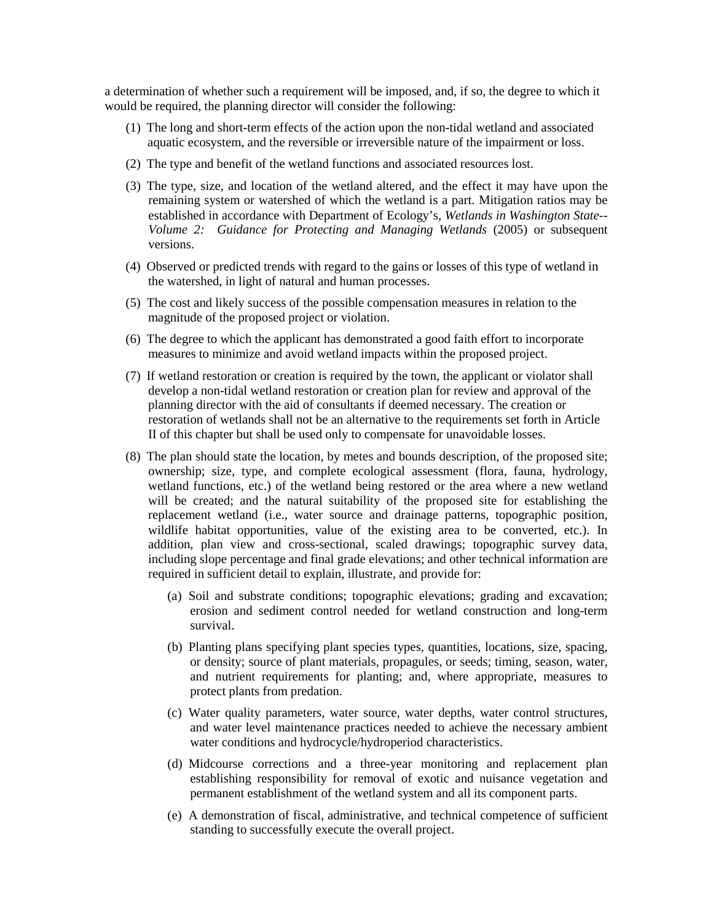a determination of whether such a requirement will be imposed, and, if so, the degree to which it would be required, the planning director will consider the following:

- (1) The long and short-term effects of the action upon the non-tidal wetland and associated aquatic ecosystem, and the reversible or irreversible nature of the impairment or loss.
- (2) The type and benefit of the wetland functions and associated resources lost.
- (3) The type, size, and location of the wetland altered, and the effect it may have upon the remaining system or watershed of which the wetland is a part. Mitigation ratios may be established in accordance with Department of Ecology's, *Wetlands in Washington State-- Volume 2: Guidance for Protecting and Managing Wetlands* (2005) or subsequent versions.
- (4) Observed or predicted trends with regard to the gains or losses of this type of wetland in the watershed, in light of natural and human processes.
- (5) The cost and likely success of the possible compensation measures in relation to the magnitude of the proposed project or violation.
- (6) The degree to which the applicant has demonstrated a good faith effort to incorporate measures to minimize and avoid wetland impacts within the proposed project.
- (7) If wetland restoration or creation is required by the town, the applicant or violator shall develop a non-tidal wetland restoration or creation plan for review and approval of the planning director with the aid of consultants if deemed necessary. The creation or restoration of wetlands shall not be an alternative to the requirements set forth in Article II of this chapter but shall be used only to compensate for unavoidable losses.
- (8) The plan should state the location, by metes and bounds description, of the proposed site; ownership; size, type, and complete ecological assessment (flora, fauna, hydrology, wetland functions, etc.) of the wetland being restored or the area where a new wetland will be created; and the natural suitability of the proposed site for establishing the replacement wetland (i.e., water source and drainage patterns, topographic position, wildlife habitat opportunities, value of the existing area to be converted, etc.). In addition, plan view and cross-sectional, scaled drawings; topographic survey data, including slope percentage and final grade elevations; and other technical information are required in sufficient detail to explain, illustrate, and provide for:
	- (a) Soil and substrate conditions; topographic elevations; grading and excavation; erosion and sediment control needed for wetland construction and long-term survival.
	- (b) Planting plans specifying plant species types, quantities, locations, size, spacing, or density; source of plant materials, propagules, or seeds; timing, season, water, and nutrient requirements for planting; and, where appropriate, measures to protect plants from predation.
	- (c) Water quality parameters, water source, water depths, water control structures, and water level maintenance practices needed to achieve the necessary ambient water conditions and hydrocycle/hydroperiod characteristics.
	- (d) Midcourse corrections and a three-year monitoring and replacement plan establishing responsibility for removal of exotic and nuisance vegetation and permanent establishment of the wetland system and all its component parts.
	- (e) A demonstration of fiscal, administrative, and technical competence of sufficient standing to successfully execute the overall project.